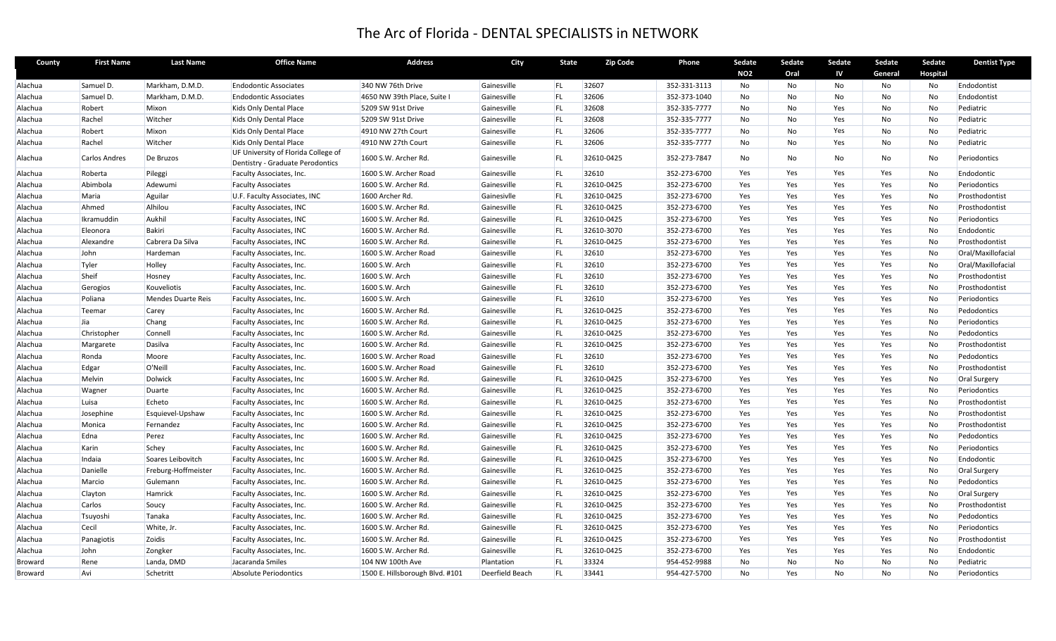## The Arc of Florida ‐ DENTAL SPECIALISTS in NETWORK

| County  | <b>First Name</b>    | <b>Last Name</b>    | <b>Office Name</b>                                                      | <b>Address</b>                  | City            | <b>State</b> | <b>Zip Code</b> | Phone        | Sedate<br><b>NO2</b> | Sedate<br>Oral | Sedate<br>IV | Sedate<br>General | Sedate<br>Hospital | <b>Dentist Type</b> |
|---------|----------------------|---------------------|-------------------------------------------------------------------------|---------------------------------|-----------------|--------------|-----------------|--------------|----------------------|----------------|--------------|-------------------|--------------------|---------------------|
| Alachua | Samuel D.            | Markham, D.M.D.     | <b>Endodontic Associates</b>                                            | 340 NW 76th Drive               | Gainesville     | FL           | 32607           | 352-331-3113 | No                   | No             | No           | No                | No                 | Endodontist         |
| Alachua | Samuel D.            | Markham, D.M.D.     | <b>Endodontic Associates</b>                                            | 4650 NW 39th Place, Suite I     | Gainesville     | <b>FL</b>    | 32606           | 352-373-1040 | No                   | No             | No           | No                | No                 | Endodontist         |
| Alachua | Robert               | Mixon               | Kids Only Dental Place                                                  | 5209 SW 91st Drive              | Gainesville     | <b>FL</b>    | 32608           | 352-335-7777 | No                   | No             | Yes          | No                | No                 | Pediatric           |
| Alachua | Rachel               | Witcher             | Kids Only Dental Place                                                  | 5209 SW 91st Drive              | Gainesville     | <b>FL</b>    | 32608           | 352-335-7777 | No                   | No             | Yes          | No                | <b>No</b>          | Pediatric           |
| Alachua | Robert               | Mixon               | Kids Only Dental Place                                                  | 4910 NW 27th Court              | Gainesville     | FL           | 32606           | 352-335-7777 | No                   | No             | Yes          | No                | No                 | Pediatric           |
| Alachua | Rachel               | Witcher             | Kids Only Dental Place                                                  | 4910 NW 27th Court              | Gainesville     | <b>FL</b>    | 32606           | 352-335-7777 | No                   | No             | Yes          | No                | No                 | Pediatric           |
| Alachua | <b>Carlos Andres</b> | De Bruzos           | UF University of Florida College of<br>Dentistry - Graduate Perodontics | 1600 S.W. Archer Rd.            | Gainesville     | <b>FL</b>    | 32610-0425      | 352-273-7847 | <b>No</b>            | No             | No           | No.               | No                 | Periodontics        |
| Alachua | Roberta              | Pileggi             | Faculty Associates, Inc.                                                | 1600 S.W. Archer Road           | Gainesville     | <b>FL</b>    | 32610           | 352-273-6700 | Yes                  | Yes            | Yes          | Yes               | <b>No</b>          | Endodontic          |
| Alachua | Abimbola             | Adewumi             | <b>Faculty Associates</b>                                               | 1600 S.W. Archer Rd.            | Gainesville     | <b>FL</b>    | 32610-0425      | 352-273-6700 | Yes                  | Yes            | Yes          | Yes               | No                 | Periodontics        |
| Alachua | Maria                | Aguilar             | U.F. Faculty Associates, INC                                            | 1600 Archer Rd.                 | Gainesivlle     | <b>FL</b>    | 32610-0425      | 352-273-6700 | Yes                  | Yes            | Yes          | Yes               | No                 | Prosthodontist      |
| Alachua | Ahmed                | Alhilou             | <b>Faculty Associates, INC</b>                                          | 1600 S.W. Archer Rd.            | Gainesville     | IFL.         | 32610-0425      | 352-273-6700 | Yes                  | Yes            | Yes          | Yes               | <b>No</b>          | Prosthodontist      |
| Alachua | Ikramuddin           | Aukhil              | <b>Faculty Associates, INC</b>                                          | 1600 S.W. Archer Rd.            | Gainesville     | <b>FL</b>    | 32610-0425      | 352-273-6700 | Yes                  | Yes            | Yes          | Yes               | No                 | Periodontics        |
| Alachua | Eleonora             | <b>Bakiri</b>       | <b>Faculty Associates, INC</b>                                          | 1600 S.W. Archer Rd.            | Gainesville     | <b>FL</b>    | 32610-3070      | 352-273-6700 | Yes                  | Yes            | Yes          | Yes               | No                 | Endodontic          |
| Alachua | Alexandre            | Cabrera Da Silva    | <b>Faculty Associates, INC</b>                                          | 1600 S.W. Archer Rd.            | Gainesville     | <b>FL</b>    | 32610-0425      | 352-273-6700 | Yes                  | Yes            | Yes          | Yes               | No                 | Prosthodontist      |
| Alachua | John                 | Hardeman            | Faculty Associates, Inc.                                                | 1600 S.W. Archer Road           | Gainesville     | FL           | 32610           | 352-273-6700 | Yes                  | Yes            | Yes          | Yes               | No                 | Oral/Maxillofacial  |
| Alachua | Tyler                | Holley              | Faculty Associates, Inc.                                                | 1600 S.W. Arch                  | Gainesville     | <b>FL</b>    | 32610           | 352-273-6700 | Yes                  | Yes            | Yes          | Yes               | No                 | Oral/Maxillofacial  |
| Alachua | Sheif                | Hosney              | Faculty Associates, Inc.                                                | 1600 S.W. Arch                  | Gainesville     | <b>FL</b>    | 32610           | 352-273-6700 | Yes                  | Yes            | Yes          | Yes               | No                 | Prosthodontist      |
| Alachua | Gerogios             | Kouveliotis         | Faculty Associates, Inc.                                                | 1600 S.W. Arch                  | Gainesville     | <b>FL</b>    | 32610           | 352-273-6700 | Yes                  | Yes            | Yes          | Yes               | No                 | Prosthodontist      |
| Alachua | Poliana              | Mendes Duarte Reis  | Faculty Associates, Inc.                                                | 1600 S.W. Arch                  | Gainesville     | <b>FL</b>    | 32610           | 352-273-6700 | Yes                  | Yes            | Yes          | Yes               | No                 | Periodontics        |
| Alachua | Teemar               | Carey               | <b>Faculty Associates, Inc.</b>                                         | 1600 S.W. Archer Rd.            | Gainesville     | <b>FL</b>    | 32610-0425      | 352-273-6700 | Yes                  | Yes            | Yes          | Yes               | No                 | Pedodontics         |
| Alachua | Jia                  | Chang               | Faculty Associates, Inc.                                                | 1600 S.W. Archer Rd.            | Gainesville     | <b>FL</b>    | 32610-0425      | 352-273-6700 | Yes                  | Yes            | Yes          | Yes               | No                 | Periodontics        |
| Alachua | Christopher          | Connell             | Faculty Associates, Inc.                                                | 1600 S.W. Archer Rd.            | Gainesville     | <b>FL</b>    | 32610-0425      | 352-273-6700 | Yes                  | Yes            | Yes          | Yes               | <b>No</b>          | Pedodontics         |
| Alachua | Margarete            | Dasilva             | <b>Faculty Associates, Inc.</b>                                         | 1600 S.W. Archer Rd.            | Gainesville     | <b>FL</b>    | 32610-0425      | 352-273-6700 | Yes                  | Yes            | Yes          | Yes               | No                 | Prosthodontist      |
| Alachua | Ronda                | Moore               | Faculty Associates, Inc.                                                | 1600 S.W. Archer Road           | Gainesville     | <b>FL</b>    | 32610           | 352-273-6700 | Yes                  | Yes            | Yes          | Yes               | No                 | Pedodontics         |
| Alachua | Edgar                | O'Neill             | Faculty Associates, Inc.                                                | 1600 S.W. Archer Road           | Gainesville     | <b>FL</b>    | 32610           | 352-273-6700 | Yes                  | Yes            | Yes          | Yes               | No                 | Prosthodontist      |
| Alachua | Melvin               | Dolwick             | Faculty Associates, Inc.                                                | 1600 S.W. Archer Rd.            | Gainesville     | <b>FL</b>    | 32610-0425      | 352-273-6700 | Yes                  | Yes            | Yes          | Yes               | No                 | Oral Surgery        |
| Alachua | Wagner               | Duarte              | Faculty Associates, Inc.                                                | 1600 S.W. Archer Rd.            | Gainesville     | <b>FL</b>    | 32610-0425      | 352-273-6700 | Yes                  | Yes            | Yes          | Yes               | <b>No</b>          | Periodontics        |
| Alachua | Luisa                | Echeto              | Faculty Associates, Inc.                                                | 1600 S.W. Archer Rd.            | Gainesville     | <b>FL</b>    | 32610-0425      | 352-273-6700 | Yes                  | Yes            | Yes          | Yes               | No                 | Prosthodontist      |
| Alachua | Josephine            | Esquievel-Upshaw    | Faculty Associates, Inc.                                                | 1600 S.W. Archer Rd.            | Gainesville     | <b>FL</b>    | 32610-0425      | 352-273-6700 | Yes                  | Yes            | Yes          | Yes               | <b>No</b>          | Prosthodontist      |
| Alachua | Monica               | Fernandez           | Faculty Associates, Inc.                                                | 1600 S.W. Archer Rd.            | Gainesville     | <b>FL</b>    | 32610-0425      | 352-273-6700 | Yes                  | Yes            | Yes          | Yes               | No                 | Prosthodontist      |
| Alachua | Edna                 | Perez               | Faculty Associates, Inc.                                                | 1600 S.W. Archer Rd.            | Gainesville     | <b>FL</b>    | 32610-0425      | 352-273-6700 | Yes                  | Yes            | Yes          | Yes               | No                 | Pedodontics         |
| Alachua | Karin                | Schey               | Faculty Associates, Inc.                                                | 1600 S.W. Archer Rd.            | Gainesville     | FL           | 32610-0425      | 352-273-6700 | Yes                  | Yes            | Yes          | Yes               | No                 | Periodontics        |
| Alachua | Indaia               | Soares Leibovitch   | Faculty Associates, Inc                                                 | 1600 S.W. Archer Rd.            | Gainesville     | <b>FL</b>    | 32610-0425      | 352-273-6700 | Yes                  | Yes            | Yes          | Yes               | No                 | Endodontic          |
| Alachua | Danielle             | Freburg-Hoffmeister | Faculty Associates, Inc.                                                | 1600 S.W. Archer Rd.            | Gainesville     | FL           | 32610-0425      | 352-273-6700 | Yes                  | Yes            | Yes          | Yes               | No                 | <b>Oral Surgery</b> |
| Alachua | Marcio               | Gulemann            | Faculty Associates, Inc.                                                | 1600 S.W. Archer Rd.            | Gainesville     | <b>FL</b>    | 32610-0425      | 352-273-6700 | Yes                  | Yes            | Yes          | Yes               | No                 | Pedodontics         |
| Alachua | Clayton              | Hamrick             | Faculty Associates, Inc.                                                | 1600 S.W. Archer Rd.            | Gainesville     | FL           | 32610-0425      | 352-273-6700 | Yes                  | Yes            | Yes          | Yes               | No                 | <b>Oral Surgery</b> |
| Alachua | Carlos               | Soucy               | Faculty Associates, Inc.                                                | 1600 S.W. Archer Rd.            | Gainesville     | <b>FL</b>    | 32610-0425      | 352-273-6700 | Yes                  | Yes            | Yes          | Yes               | <b>No</b>          | Prosthodontist      |
| Alachua | Tsuyoshi             | Tanaka              | Faculty Associates, Inc.                                                | 1600 S.W. Archer Rd.            | Gainesville     | <b>FL</b>    | 32610-0425      | 352-273-6700 | Yes                  | Yes            | Yes          | Yes               | <b>No</b>          | Pedodontics         |
| Alachua | Cecil                | White, Jr.          | Faculty Associates, Inc.                                                | 1600 S.W. Archer Rd.            | Gainesville     | <b>FL</b>    | 32610-0425      | 352-273-6700 | Yes                  | Yes            | Yes          | Yes               | No                 | Periodontics        |
| Alachua | Panagiotis           | Zoidis              | Faculty Associates, Inc.                                                | 1600 S.W. Archer Rd.            | Gainesville     | <b>FL</b>    | 32610-0425      | 352-273-6700 | Yes                  | Yes            | Yes          | Yes               | No                 | Prosthodontist      |
| Alachua | John                 | Zongker             | Faculty Associates, Inc.                                                | 1600 S.W. Archer Rd.            | Gainesville     | <b>FL</b>    | 32610-0425      | 352-273-6700 | Yes                  | Yes            | Yes          | Yes               | No                 | Endodontic          |
| Broward | Rene                 | Landa, DMD          | Jacaranda Smiles                                                        | 104 NW 100th Ave                | Plantation      | <b>FL</b>    | 33324           | 954-452-9988 | No                   | No             | No           | No                | <b>No</b>          | Pediatric           |
| Broward | Avi                  | Schetritt           | Absolute Periodontics                                                   | 1500 E. Hillsborough Blvd. #101 | Deerfield Beach | <b>FL</b>    | 33441           | 954-427-5700 | <b>No</b>            | Yes            | <b>No</b>    | No                | <b>No</b>          | Periodontics        |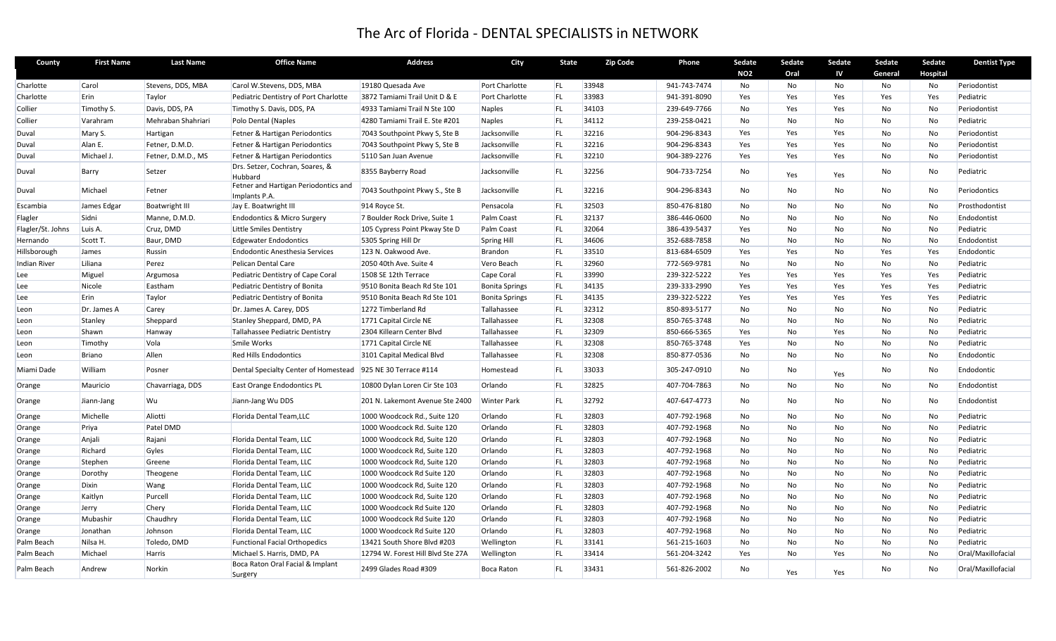## The Arc of Florida ‐ DENTAL SPECIALISTS in NETWORK

| County              | <b>First Name</b> | <b>Last Name</b>      | <b>Office Name</b>                                          | Address                           | City                  | <b>State</b> | <b>Zip Code</b> | Phone        | Sedate<br><b>NO2</b> | Sedate<br>Oral | Sedate<br>IV | Sedate<br>General | Sedate<br><b>Hospital</b> | <b>Dentist Type</b> |
|---------------------|-------------------|-----------------------|-------------------------------------------------------------|-----------------------------------|-----------------------|--------------|-----------------|--------------|----------------------|----------------|--------------|-------------------|---------------------------|---------------------|
| Charlotte           | Carol             | Stevens, DDS, MBA     | Carol W.Stevens, DDS, MBA                                   | 19180 Quesada Ave                 | Port Charlotte        | FL.          | 33948           | 941-743-7474 | No                   | No             | No           | No                | No                        | Periodontist        |
| Charlotte           | Erin              | Taylor                | Pediatric Dentistry of Port Charlotte                       | 3872 Tamiami Trail Unit D & E     | Port Charlotte        | <b>FL</b>    | 33983           | 941-391-8090 | Yes                  | Yes            | Yes          | Yes               | Yes                       | Pediatric           |
| Collier             | Timothy S.        | Davis, DDS, PA        | Timothy S. Davis, DDS, PA                                   | 4933 Tamiami Trail N Ste 100      | Naples                | <b>FL</b>    | 34103           | 239-649-7766 | No                   | Yes            | Yes          | No                | No                        | Periodontist        |
| Collier             | Varahram          | Mehraban Shahriari    | Polo Dental (Naples                                         | 4280 Tamiami Trail E. Ste #201    | Naples                | FL           | 34112           | 239-258-0421 | No                   | No             | No           | No                | No                        | Pediatric           |
| Duval               | Mary S.           | Hartigan              | Fetner & Hartigan Periodontics                              | 7043 Southpoint Pkwy S, Ste B     | Jacksonville          | <b>FL</b>    | 32216           | 904-296-8343 | Yes                  | Yes            | Yes          | No                | No                        | Periodontist        |
| Duval               | Alan E.           | Fetner, D.M.D.        | Fetner & Hartigan Periodontics                              | 7043 Southpoint Pkwy S, Ste B     | Jacksonville          | FL           | 32216           | 904-296-8343 | Yes                  | Yes            | Yes          | No                | <b>No</b>                 | Periodontist        |
| Duval               | Michael J.        | Fetner, D.M.D., MS    | Fetner & Hartigan Periodontics                              | 5110 San Juan Avenue              | Jacksonville          | <b>FL</b>    | 32210           | 904-389-2276 | Yes                  | Yes            | Yes          | No                | No                        | Periodontist        |
| Duval               | Barry             | Setzer                | Drs. Setzer, Cochran, Soares, &<br>Hubbard                  | 8355 Bayberry Road                | Jacksonville          | <b>FL</b>    | 32256           | 904-733-7254 | No                   | Yes            | Yes          | No                | No                        | Pediatric           |
| Duval               | Michael           | Fetner                | Fetner and Hartigan Periodontics and<br>Implants P.A.       | 7043 Southpoint Pkwy S., Ste B    | Jacksonville          | <b>FL</b>    | 32216           | 904-296-8343 | No                   | No             | No           | No                | No                        | Periodontics        |
| Escambia            | James Edgar       | <b>Boatwright III</b> | Jay E. Boatwright III                                       | 914 Royce St.                     | Pensacola             | <b>FL</b>    | 32503           | 850-476-8180 | No                   | No.            | No           | No                | No                        | Prosthodontist      |
| Flagler             | Sidni             | Manne, D.M.D.         | <b>Endodontics &amp; Micro Surgery</b>                      | 7 Boulder Rock Drive, Suite 1     | Palm Coast            | <b>FL</b>    | 32137           | 386-446-0600 | <b>No</b>            | No             | No           | <b>No</b>         | <b>No</b>                 | Endodontist         |
| Flagler/St. Johns   | Luis A.           | Cruz, DMD             | Little Smiles Dentistry                                     | 105 Cypress Point Pkway Ste D     | Palm Coast            | <b>FL</b>    | 32064           | 386-439-5437 | Yes                  | No             | No           | No                | No                        | Pediatric           |
| Hernando            | Scott T.          | Baur, DMD             | <b>Edgewater Endodontics</b>                                | 5305 Spring Hill Dr               | Spring Hill           | <b>FL</b>    | 34606           | 352-688-7858 | No                   | No             | No           | No                | No                        | Endodontist         |
| Hillsborough        | James             | Russin                | <b>Endodontic Anesthesia Services</b>                       | 123 N. Oakwood Ave.               | Brandon               | <b>FL</b>    | 33510           | 813-684-6509 | Yes                  | Yes            | No           | Yes               | Yes                       | Endodontic          |
| <b>Indian River</b> | Liliana           | Perez                 | Pelican Dental Care                                         | 2050 40th Ave. Suite 4            | Vero Beach            | <b>FL</b>    | 32960           | 772-569-9781 | No                   | No             | No           | No                | <b>No</b>                 | Pediatric           |
| Lee                 | Miguel            | Argumosa              | Pediatric Dentistry of Cape Coral                           | 1508 SE 12th Terrace              | Cape Coral            | <b>FL</b>    | 33990           | 239-322-5222 | Yes                  | Yes            | Yes          | Yes               | Yes                       | Pediatric           |
| Lee                 | Nicole            | Eastham               | Pediatric Dentistry of Bonita                               | 9510 Bonita Beach Rd Ste 101      | <b>Bonita Springs</b> | <b>FL</b>    | 34135           | 239-333-2990 | Yes                  | Yes            | Yes          | Yes               | Yes                       | Pediatric           |
| Lee                 | Erin              | Taylor                | Pediatric Dentistry of Bonita                               | 9510 Bonita Beach Rd Ste 101      | <b>Bonita Springs</b> | <b>FL</b>    | 34135           | 239-322-5222 | Yes                  | Yes            | Yes          | Yes               | Yes                       | Pediatric           |
| Leon                | Dr. James A       | Carey                 | Dr. James A. Carey, DDS                                     | 1272 Timberland Rd                | Tallahassee           | FL           | 32312           | 850-893-5177 | No                   | No             | No           | No                | No                        | Pediatric           |
| Leon                | Stanley           | Sheppard              | Stanley Sheppard, DMD, PA                                   | 1771 Capital Circle NE            | Tallahassee           | <b>FL</b>    | 32308           | 850-765-3748 | No                   | No             | No           | No                | <b>No</b>                 | Pediatric           |
| Leon                | Shawn             | Hanway                | Tallahassee Pediatric Dentistry                             | 2304 Killearn Center Blvd         | Tallahassee           | FL           | 32309           | 850-666-5365 | Yes                  | No             | Yes          | No                | No                        | Pediatric           |
| Leon                | Timothy           | Vola                  | Smile Works                                                 | 1771 Capital Circle NE            | Tallahassee           | FL           | 32308           | 850-765-3748 | Yes                  | No             | No           | No                | No                        | Pediatric           |
| Leon                | <b>Briano</b>     | Allen                 | <b>Red Hills Endodontics</b>                                | 3101 Capital Medical Blvd         | Tallahassee           | <b>FL</b>    | 32308           | 850-877-0536 | No                   | No             | No           | No                | No                        | Endodontic          |
| Miami Dade          | William           | Posner                | Dental Specialty Center of Homestead 925 NE 30 Terrace #114 |                                   | Homestead             | <b>FL</b>    | 33033           | 305-247-0910 | <b>No</b>            | No             | Yes          | No                | No                        | Endodontic          |
| Orange              | Mauricio          | Chavarriaga, DDS      | East Orange Endodontics PL                                  | 10800 Dylan Loren Cir Ste 103     | Orlando               | <b>FL</b>    | 32825           | 407-704-7863 | No                   | No.            | No           | No                | No                        | Endodontist         |
| Orange              | Jiann-Jang        | Wu                    | Jiann-Jang Wu DDS                                           | 201 N. Lakemont Avenue Ste 2400   | <b>Winter Park</b>    | <b>FL</b>    | 32792           | 407-647-4773 | No                   | No             | No.          | No                | No                        | Endodontist         |
| Orange              | Michelle          | Aliotti               | Florida Dental Team, LLC                                    | 1000 Woodcock Rd., Suite 120      | Orlando               | <b>FL</b>    | 32803           | 407-792-1968 | No                   | No             | No           | No                | No                        | Pediatric           |
| Orange              | Priya             | Patel DMD             |                                                             | 1000 Woodcock Rd. Suite 120       | Orlando               | <b>FL</b>    | 32803           | 407-792-1968 | No                   | No             | No           | No                | No                        | Pediatric           |
| Orange              | Anjali            | Rajani                | Florida Dental Team, LLC                                    | 1000 Woodcock Rd, Suite 120       | Orlando               | <b>FL</b>    | 32803           | 407-792-1968 | No                   | No             | No           | No                | No                        | Pediatric           |
| Orange              | Richard           | Gyles                 | Florida Dental Team, LLC                                    | 1000 Woodcock Rd, Suite 120       | Orlando               | <b>FL</b>    | 32803           | 407-792-1968 | No                   | No             | No           | No                | No                        | Pediatric           |
| Orange              | Stephen           | Greene                | Florida Dental Team, LLC                                    | 1000 Woodcock Rd, Suite 120       | Orlando               | FL           | 32803           | 407-792-1968 | <b>No</b>            | No             | No           | No                | <b>No</b>                 | Pediatric           |
| Orange              | Dorothy           | Theogene              | Florida Dental Team, LLC                                    | 1000 Woodcock Rd Suite 120        | Orlando               | <b>FL</b>    | 32803           | 407-792-1968 | No                   | No             | No           | No                | No                        | Pediatric           |
| Orange              | Dixin             | Wang                  | Florida Dental Team, LLC                                    | 1000 Woodcock Rd, Suite 120       | Orlando               | <b>FL</b>    | 32803           | 407-792-1968 | No                   | No             | No           | No                | No                        | Pediatric           |
| Orange              | Kaitlyn           | Purcell               | Florida Dental Team, LLC                                    | 1000 Woodcock Rd, Suite 120       | Orlando               | <b>FL</b>    | 32803           | 407-792-1968 | No                   | No             | No           | No                | No                        | Pediatric           |
| Orange              | Jerry             | Chery                 | Florida Dental Team, LLC                                    | 1000 Woodcock Rd Suite 120        | Orlando               | FL           | 32803           | 407-792-1968 | No                   | No             | No           | No                | No                        | Pediatric           |
| Orange              | Mubashir          | Chaudhry              | Florida Dental Team, LLC                                    | 1000 Woodcock Rd Suite 120        | Orlando               | <b>FL</b>    | 32803           | 407-792-1968 | No                   | No             | No           | No                | <b>No</b>                 | Pediatric           |
| Orange              | Jonathan          | Johnson               | Florida Dental Team, LLC                                    | 1000 Woodcock Rd Suite 120        | Orlando               | <b>FL</b>    | 32803           | 407-792-1968 | No                   | No             | No           | No                | No                        | Pediatric           |
| Palm Beach          | Nilsa H.          | Toledo, DMD           | <b>Functional Facial Orthopedics</b>                        | 13421 South Shore Blvd #203       | Wellington            | <b>FL</b>    | 33141           | 561-215-1603 | No                   | No             | No           | No                | No                        | Pediatric           |
| Palm Beach          | Michael           | <b>Harris</b>         | Michael S. Harris, DMD, PA                                  | 12794 W. Forest Hill Blvd Ste 27A | Wellington            | <b>FL</b>    | 33414           | 561-204-3242 | Yes                  | No.            | Yes          | No                | No                        | Oral/Maxillofacial  |
| Palm Beach          | Andrew            | Norkin                | Boca Raton Oral Facial & Implant<br>Surgery                 | 2499 Glades Road #309             | Boca Raton            | <b>FL</b>    | 33431           | 561-826-2002 | <b>No</b>            | Yes            | Yes          | No                | No                        | Oral/Maxillofacial  |